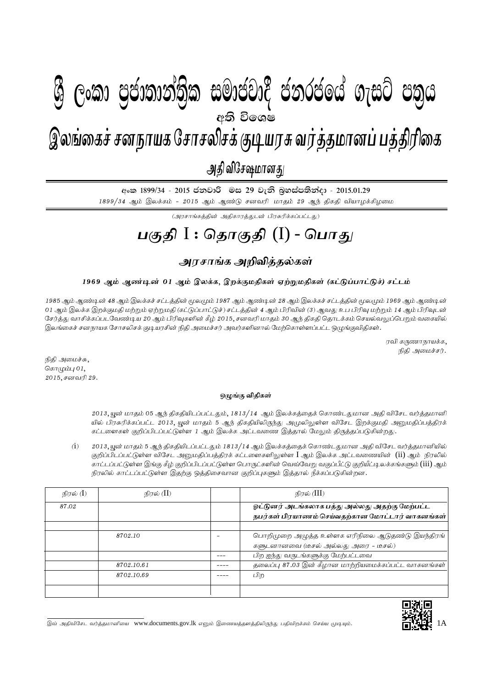## I **fldgi ( ^**I**& fPoh - Y S % ,xld m %cd;dk a; s %l iudcjd§ ckrcfh a w; s úfYI .eiÜ m; %h - 2015'01'29**  $g_{\text{max}}$  , nghamaga nghaphan nghang nga Kon $\alpha$ இலங்கைச் சனநாயக சோசலிசக் குடியரசு வர்த்தமானப் பத்திரிகை அதி விசேஷமானது  $\mathcal{B}$  George Constanting)ක සමාප්තාර ප්නාර්ථිකය ගැසර ප්නිෆ අති වි**ං**ශෂ

අංක 1899/34 - 2015 ජනවාරි මස 29 වැනි බූහස්පතින්දා - 2015.01.29

 $1899/34$  ஆம் இலக்கம் -  $2015$  ஆம் ஆண்டு சனவரி மாதம்  $29$  ஆந் திகதி வியாழக்கிழமை

 $(\mathcal{A}$ ரசாங்கத்தின் அதிகாரத்துடன் பிரசுரிக்கப்பட்டது)

# <u>பகுதி</u> I : தொகுதி (I) - பொது

### <u>அரசாங்க அறிவிக்கல்கள்</u>

### 1969 ஆம் ஆண்டின் 01 ஆம் இலக்க, இறக்குமதிகள் ஏற்றுமதிகள் (கட்டுப்பாட்டுச்) சட்டம்

1985 ஆம் ஆண்டின் 48 ஆம் இலக்கச் சட்டத்தின் மூலமும் 1987 ஆம் ஆண்டின் 28 ஆம் இலக்கச் சட்டத்தின் மூலமும் 1969 ஆம் ஆண்டின் 01 ஆம் இலக்க இறக்குமதி மற்றும் ஏற்றுமதி (கட்டுப்பாட்டுச்) சட்டத்தின் 4 ஆம் பிரிவின் (3) ஆவது உப பிரிவு மற்றும் 14 ஆம் பிரிவுடன் சேர்த்து வாசிக்கப்படவேண்டிய 20 ஆம் பிரிவுகளின் கீழ் 2015, சனவரி மாதம் 30 ஆந் திகதி தொடக்கம் செயல்வலுப்பெறும் வகையில் இலங்கைச் சனநாயக சோசலிசக் குடியரசின் நிதி அமைச்சர் அவர்களினால் மேற்கொள்ளப்பட்ட ஒமுங்குவிதிகள்.

> ரவி கருணாநாயக்க, நிதி அமைச்சர்.

நிதி அமைச்சு, கொழும்பு $01$ , 2015, சனவரி 29.

#### **xOqF tpjpfs ; ;**

2013, யூன் மாதம் 05 ஆந் திகதியிடப்பட்டதும், 1813/14 ஆம் இலக்கத்தைக் கொண்டதுமான அதி விசேட வர்த்தமானி யில் பிரசுரிக்கப்பட்ட 2013, யூன் மாதம் 5 ஆந் திகதியிலிருந்து அமுலிலுள்ள விசேட இறக்குமதி அனுமதிப்பத்திரக் கட்டளைகள் குறிப்பிடப்பட்டுள்ள 1 ஆம் இலக்க அட்டவணை இத்தால் மேலும் திருத்தப்படுகின்றது.

 $(i)$   $2013$ , யுன் மாதம் 5 ஆந் திகதியிடப்பட்டதும் 1813/14 ஆம் இலக்கத்தைக் கொண்டதுமான அதி விசேட வர்த்தமானியில் குறிப்பிடப்பட்டுள்ள விசேட அனுமதிப்பத்திரக் கட்டளைகளிலுள்ள I ஆம் இலக்க அட்டவணையின் (ii) ஆம் நிரலில் காட்டப்பட்டுள்ள இங்கு கீழ் குறிப்பிடப்பட்டுள்ள பொருட்களின் வெவ்வேறு வகுப்பீட்டு குறியீட்டி லக்கங்களும் (iii) ஆம் நிரலில் காட்டப்பட்டுள்ள இதற்கு ஒத்திசைவான குறிப்புகளும் இத்தால் நீக்கப்படுகின்றன.

| நிரல் ( <b>I</b> ) | நிரல் (II) | நிரல் (III)                                                                                       |
|--------------------|------------|---------------------------------------------------------------------------------------------------|
| 87.02              |            | ஓட்டுனர் அடங்கலாக பத்து அல்லது அதற்கு மேற்பட்ட<br>நபர்கள் பிரயாணம் செய்வதற்கான மோட்டார் வாகனங்கள் |
|                    |            |                                                                                                   |
|                    | 8702.10    | பொறிமுறை அழுத்த உள்ளக எரிநிலை ஆடுதண்டு இயந்திரங்<br>களுடனானவை (டீசல் அல்லது அரை - டீசல்)          |
|                    |            | பிற ஐந்து வருடங்களுக்கு மேற்பட்டவை                                                                |
|                    | 8702.10.61 | தலைப்பு 87.03 இன் கீழான மாற்றியமைக்கப்பட்ட வாகனங்கள்                                              |
|                    | 8702.10.69 | பிற                                                                                               |
|                    |            |                                                                                                   |



இவ் அதிவிசேட வர்த்தமானியை www.documents.gov.lk எனும் இணையத்தளத்திலிருந்து பதிவிறக்கம் செய்ய முடியும்.